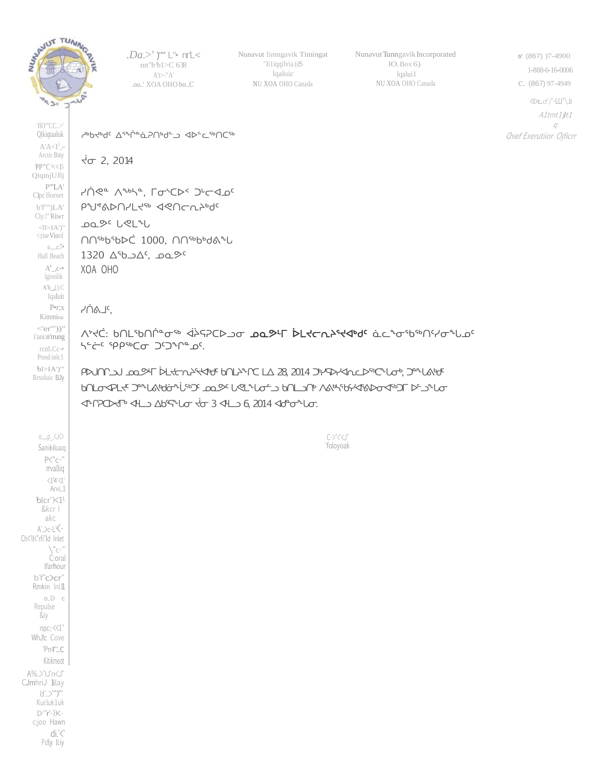

'flO"'CC..>' Qikiqtaaluk  $A^{\dagger}A<1^{\dagger}$ . Arctic Bay PP"'C'<<1' QiqmjUJlj P"'LA' C1pc llorset b'f'"')LA' Cly.!"Riwr  $\langle$ l $>$ IA')" <;riseViord  $0., . . , c; 7*$ Hall Beach  $A'_{-}$ , $c$ -• *.Da.>'* )"" L"• nr'L< nn"b <sup>1</sup>b1>C 638 A't>-"A' .oo..' XOA OHO bo..C

Nunavut limngavik Timingat "Ii1iqqilvia (dS lqaluic NU XOA OHO Canada

Nunavut Tunngavik Incorporated lO.Box 6) lqalui1 NU XOA OHO Canada

ti' (867) )7-4900 1-888-6-16-0006 c. (867) 97-4949 <ll>c..cr'/'-LLI"\.b A1tmt1\t1  $\sigma$ Chief Exerutiior Ojficrr

" d>°∠ded a a d>°

 $\sqrt{5}$  2, 2014

YNea *Nere'* Latch< Journal ᑭᖑᕝᕕᐅᑎᓯᒪᔪᖅ ᐊᕙᑎᓕᕆᔨᒃᑯᑦ ᓄᓇᕗᑦ ᒐᕙᒪᖓ ᑎᑎᖅᑲᖃᐅᑖ 1000, ᑎᑎᖅᑲᒃᑯᕕᖓ  $1320 \triangle^{6}$ .  $\triangle^{6}$ ,  $\triangle^{7}$ XOA OHO

ᓯᑏᕕᒧᑦ,

ᐱᔾᔪᑖ: ᑲᑎᒪᖃᑎᒌᓐᓂᖅ ᐋᔩᕋᕈᑕᐅᓗᓂ ᓄᓇᕗᒻᒥ ᐆᒪᔪᓕᕆᔨᕐᔪᐊᒃᑯᑦ ᓈᓚᖕᓂᖃᖅᑎᑦᓯᓂᖓᓄᑦ ᓴᓪᓖᑦ ᕿᑭᖅᑕᓂ ᑐᑦᑐᖏᓐᓄᑦ.

ᑭᐅᒍᑎᒋᓗᒍ ᓄᓇᕗᒻᒥ ᐆᒪᔪᓕᕆᔨᕐᔪᐊᒃᑯᑦ ᑲᑎᒪᔨᖏᑕ ᒪᐃ 28, 2014 ᑐᒃᓯᕋᐅᓯᐊᕆᓚᐅᖅᑕᖓᓂᒃ, ᑐᓐᖓᕕᒃᑯᑦ ᑲᑎᒪᓂᐊᕈᒪᔪᑦ ᑐᓐᖓᕕᒃᑯᓃᖔᖅᑐᑦ ᓄᓇᕗᑦ ᒐᕙᒪᖓᓂᓪᓗ ᑲᑎᒪᓗᑎᒃ ᐱᕕᒃᓴᖃᑦᓯᐊᕐᕕᐅᓂᐊᖅᑐᒥ ᐅᓪᓗᖓᓂ ᐊᖏᕈᑕᐅᔪᒥᒃ ᐊᒻᒪᓗ ᐃᑲᕐᕋᖓᓂ ᔫᓂ 3 ᐊᒻᒪᓗ 6, 2014 ᐊᑯᓐᓂᖓᓂ.

> C->"<'<J" 'foloyoak

lgioolik A'b\_,[).C Iqaluit P•r;x Kimmirut  $\langle 'er''') \rangle''$ i'ani:n'rrung rcnLCc-• Pond inlc1  $b$ l>IA')'" Rrsoluic BJy o.,.,.p\_,<J<> Sanikiluaq P<"c-" rrvalliq <1 <sup>1</sup>4'<1' Arvi;.1 <sup>1</sup>blcr')<1<sup>1</sup> &kcr I akc A'..>c-L <sup>1</sup><• Ch<'ll<"rfi"ld Inlet \"c-"' C:oral lfarhour b'f"c>cr" Rmkin Inl11  $o.$  $\ge$   $c$ Repulse &ly npc;•<<1" WhJ!c Cove 'Pn1r:.c Kitikmeot A%..>')J'n<J" CJmhriJ 1llay  $\langle \vec{a}^{\, \prime}_{\, \cdots} \rangle^{\! \rm (m)}$ Kui:luk1uk l>'"r'•))<• c;joo Hawn di.'<' Pdly ll.iy